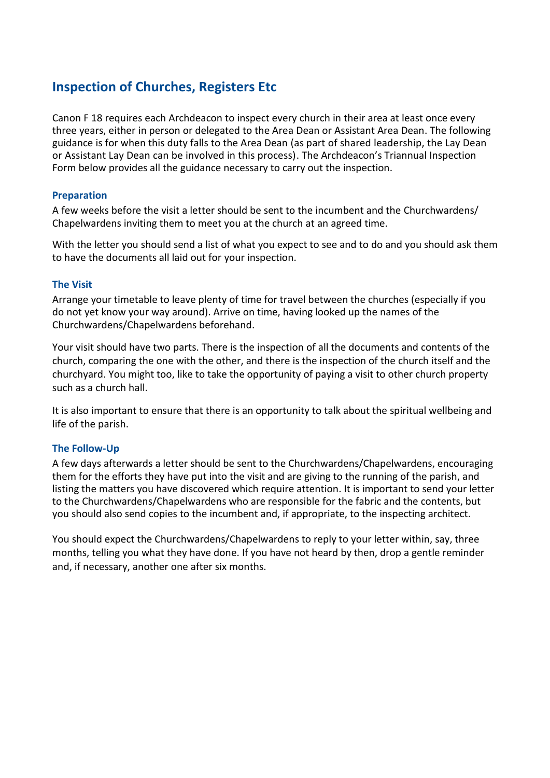# **Inspection of Churches, Registers Etc**

Canon F 18 requires each Archdeacon to inspect every church in their area at least once every three years, either in person or delegated to the Area Dean or Assistant Area Dean. The following guidance is for when this duty falls to the Area Dean (as part of shared leadership, the Lay Dean or Assistant Lay Dean can be involved in this process). The Archdeacon's Triannual Inspection Form below provides all the guidance necessary to carry out the inspection.

# **Preparation**

A few weeks before the visit a letter should be sent to the incumbent and the Churchwardens/ Chapelwardens inviting them to meet you at the church at an agreed time.

With the letter you should send a list of what you expect to see and to do and you should ask them to have the documents all laid out for your inspection.

# **The Visit**

Arrange your timetable to leave plenty of time for travel between the churches (especially if you do not yet know your way around). Arrive on time, having looked up the names of the Churchwardens/Chapelwardens beforehand.

Your visit should have two parts. There is the inspection of all the documents and contents of the church, comparing the one with the other, and there is the inspection of the church itself and the churchyard. You might too, like to take the opportunity of paying a visit to other church property such as a church hall.

It is also important to ensure that there is an opportunity to talk about the spiritual wellbeing and life of the parish.

# **The Follow-Up**

A few days afterwards a letter should be sent to the Churchwardens/Chapelwardens, encouraging them for the efforts they have put into the visit and are giving to the running of the parish, and listing the matters you have discovered which require attention. It is important to send your letter to the Churchwardens/Chapelwardens who are responsible for the fabric and the contents, but you should also send copies to the incumbent and, if appropriate, to the inspecting architect.

You should expect the Churchwardens/Chapelwardens to reply to your letter within, say, three months, telling you what they have done. If you have not heard by then, drop a gentle reminder and, if necessary, another one after six months.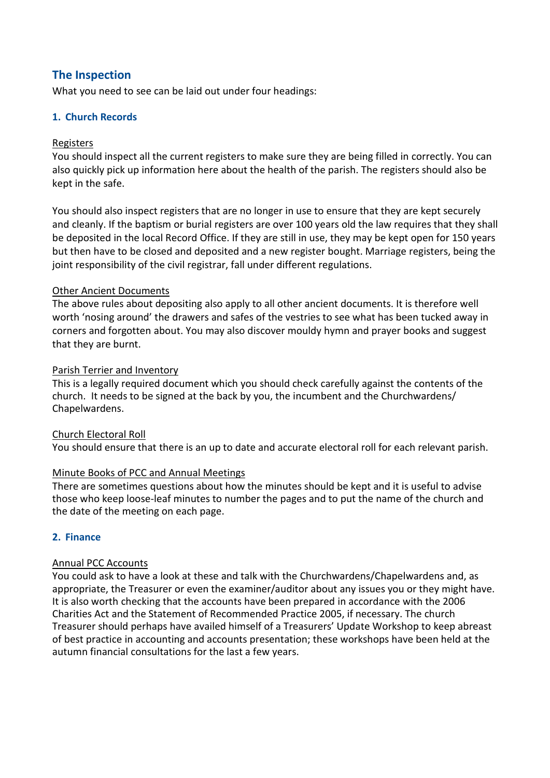# **The Inspection**

What you need to see can be laid out under four headings:

# **1. Church Records**

# Registers

You should inspect all the current registers to make sure they are being filled in correctly. You can also quickly pick up information here about the health of the parish. The registers should also be kept in the safe.

You should also inspect registers that are no longer in use to ensure that they are kept securely and cleanly. If the baptism or burial registers are over 100 years old the law requires that they shall be deposited in the local Record Office. If they are still in use, they may be kept open for 150 years but then have to be closed and deposited and a new register bought. Marriage registers, being the joint responsibility of the civil registrar, fall under different regulations.

# Other Ancient Documents

The above rules about depositing also apply to all other ancient documents. It is therefore well worth 'nosing around' the drawers and safes of the vestries to see what has been tucked away in corners and forgotten about. You may also discover mouldy hymn and prayer books and suggest that they are burnt.

# Parish Terrier and Inventory

This is a legally required document which you should check carefully against the contents of the church. It needs to be signed at the back by you, the incumbent and the Churchwardens/ Chapelwardens.

# Church Electoral Roll

You should ensure that there is an up to date and accurate electoral roll for each relevant parish.

# Minute Books of PCC and Annual Meetings

There are sometimes questions about how the minutes should be kept and it is useful to advise those who keep loose-leaf minutes to number the pages and to put the name of the church and the date of the meeting on each page.

# **2. Finance**

# Annual PCC Accounts

You could ask to have a look at these and talk with the Churchwardens/Chapelwardens and, as appropriate, the Treasurer or even the examiner/auditor about any issues you or they might have. It is also worth checking that the accounts have been prepared in accordance with the 2006 Charities Act and the Statement of Recommended Practice 2005, if necessary. The church Treasurer should perhaps have availed himself of a Treasurers' Update Workshop to keep abreast of best practice in accounting and accounts presentation; these workshops have been held at the autumn financial consultations for the last a few years.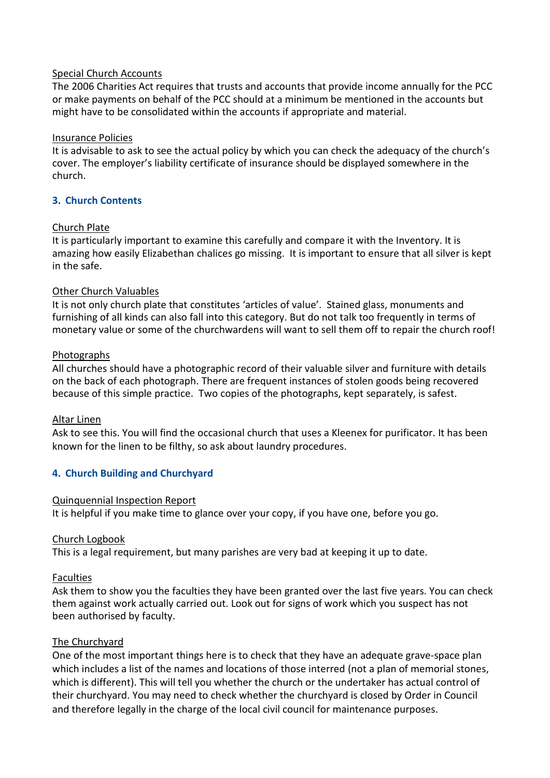# Special Church Accounts

The 2006 Charities Act requires that trusts and accounts that provide income annually for the PCC or make payments on behalf of the PCC should at a minimum be mentioned in the accounts but might have to be consolidated within the accounts if appropriate and material.

#### Insurance Policies

It is advisable to ask to see the actual policy by which you can check the adequacy of the church's cover. The employer's liability certificate of insurance should be displayed somewhere in the church.

# **3. Church Contents**

# Church Plate

It is particularly important to examine this carefully and compare it with the Inventory. It is amazing how easily Elizabethan chalices go missing. It is important to ensure that all silver is kept in the safe.

#### Other Church Valuables

It is not only church plate that constitutes 'articles of value'. Stained glass, monuments and furnishing of all kinds can also fall into this category. But do not talk too frequently in terms of monetary value or some of the churchwardens will want to sell them off to repair the church roof!

#### Photographs

All churches should have a photographic record of their valuable silver and furniture with details on the back of each photograph. There are frequent instances of stolen goods being recovered because of this simple practice. Two copies of the photographs, kept separately, is safest.

# Altar Linen

Ask to see this. You will find the occasional church that uses a Kleenex for purificator. It has been known for the linen to be filthy, so ask about laundry procedures.

# **4. Church Building and Churchyard**

# Quinquennial Inspection Report

It is helpful if you make time to glance over your copy, if you have one, before you go.

# Church Logbook

This is a legal requirement, but many parishes are very bad at keeping it up to date.

# Faculties

Ask them to show you the faculties they have been granted over the last five years. You can check them against work actually carried out. Look out for signs of work which you suspect has not been authorised by faculty.

#### The Churchyard

One of the most important things here is to check that they have an adequate grave-space plan which includes a list of the names and locations of those interred (not a plan of memorial stones, which is different). This will tell you whether the church or the undertaker has actual control of their churchyard. You may need to check whether the churchyard is closed by Order in Council and therefore legally in the charge of the local civil council for maintenance purposes.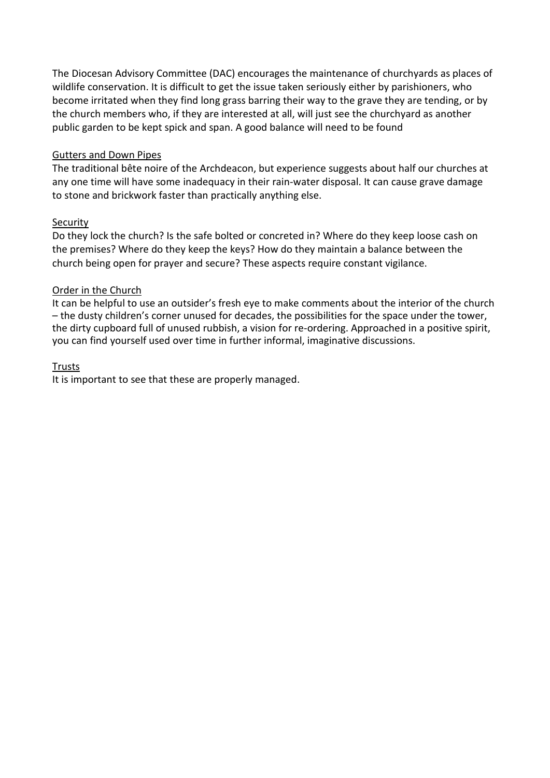The Diocesan Advisory Committee (DAC) encourages the maintenance of churchyards as places of wildlife conservation. It is difficult to get the issue taken seriously either by parishioners, who become irritated when they find long grass barring their way to the grave they are tending, or by the church members who, if they are interested at all, will just see the churchyard as another public garden to be kept spick and span. A good balance will need to be found

# Gutters and Down Pipes

The traditional bête noire of the Archdeacon, but experience suggests about half our churches at any one time will have some inadequacy in their rain-water disposal. It can cause grave damage to stone and brickwork faster than practically anything else.

# Security

Do they lock the church? Is the safe bolted or concreted in? Where do they keep loose cash on the premises? Where do they keep the keys? How do they maintain a balance between the church being open for prayer and secure? These aspects require constant vigilance.

# Order in the Church

It can be helpful to use an outsider's fresh eye to make comments about the interior of the church – the dusty children's corner unused for decades, the possibilities for the space under the tower, the dirty cupboard full of unused rubbish, a vision for re-ordering. Approached in a positive spirit, you can find yourself used over time in further informal, imaginative discussions.

# Trusts

It is important to see that these are properly managed.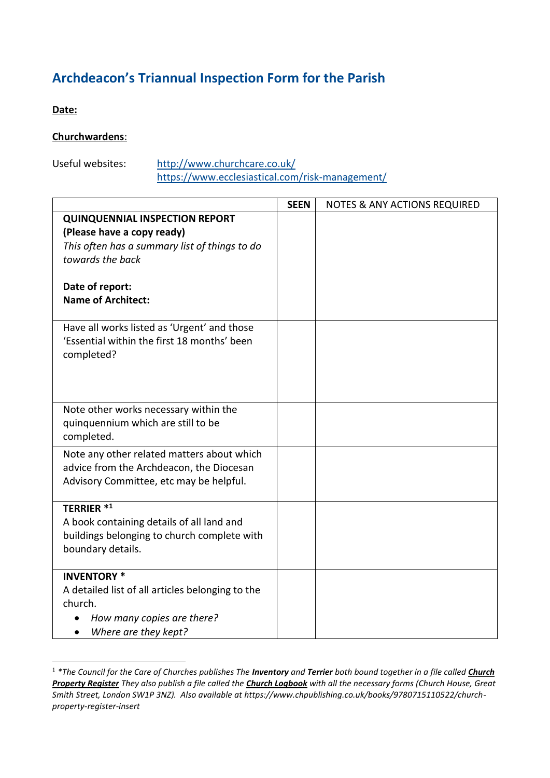# **Archdeacon's Triannual Inspection Form for the Parish**

**Date:** 

# **Churchwardens**:

Useful websites: <http://www.churchcare.co.uk/>

<https://www.ecclesiastical.com/risk-management/>

|                                                                                     | <b>SEEN</b> | <b>NOTES &amp; ANY ACTIONS REQUIRED</b> |
|-------------------------------------------------------------------------------------|-------------|-----------------------------------------|
| <b>QUINQUENNIAL INSPECTION REPORT</b>                                               |             |                                         |
| (Please have a copy ready)                                                          |             |                                         |
| This often has a summary list of things to do                                       |             |                                         |
| towards the back                                                                    |             |                                         |
| Date of report:                                                                     |             |                                         |
| <b>Name of Architect:</b>                                                           |             |                                         |
|                                                                                     |             |                                         |
| Have all works listed as 'Urgent' and those                                         |             |                                         |
| 'Essential within the first 18 months' been                                         |             |                                         |
| completed?                                                                          |             |                                         |
|                                                                                     |             |                                         |
|                                                                                     |             |                                         |
|                                                                                     |             |                                         |
| Note other works necessary within the<br>quinquennium which are still to be         |             |                                         |
| completed.                                                                          |             |                                         |
|                                                                                     |             |                                         |
| Note any other related matters about which                                          |             |                                         |
| advice from the Archdeacon, the Diocesan<br>Advisory Committee, etc may be helpful. |             |                                         |
|                                                                                     |             |                                         |
| <b>TERRIER *1</b>                                                                   |             |                                         |
| A book containing details of all land and                                           |             |                                         |
| buildings belonging to church complete with                                         |             |                                         |
| boundary details.                                                                   |             |                                         |
| <b>INVENTORY *</b>                                                                  |             |                                         |
| A detailed list of all articles belonging to the                                    |             |                                         |
| church.                                                                             |             |                                         |
| How many copies are there?                                                          |             |                                         |
| Where are they kept?                                                                |             |                                         |

<sup>1</sup> *\*The Council for the Care of Churches publishes The Inventory and Terrier both bound together in a file called Church Property Register They also publish a file called the Church Logbook with all the necessary forms (Church House, Great Smith Street, London SW1P 3NZ). Also available at https://www.chpublishing.co.uk/books/9780715110522/churchproperty-register-insert*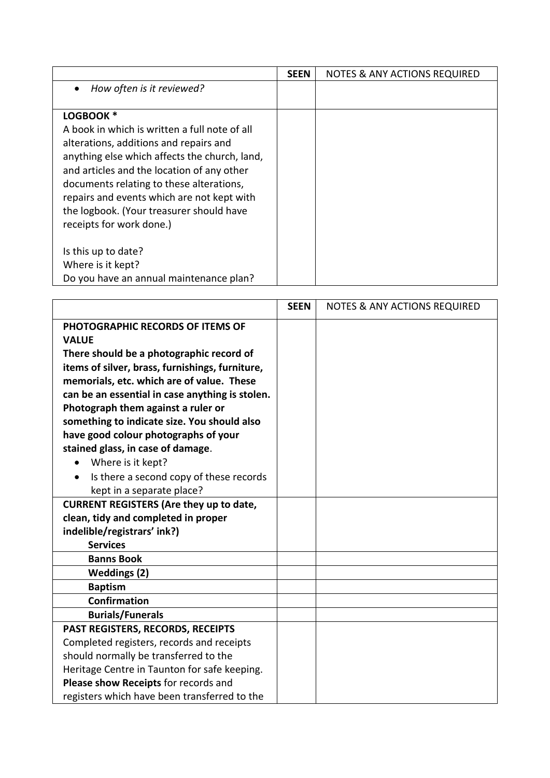|                                                                                                                                                                                                                                                                                                                                           | <b>SEEN</b> | <b>NOTES &amp; ANY ACTIONS REQUIRED</b> |
|-------------------------------------------------------------------------------------------------------------------------------------------------------------------------------------------------------------------------------------------------------------------------------------------------------------------------------------------|-------------|-----------------------------------------|
| How often is it reviewed?<br>$\bullet$                                                                                                                                                                                                                                                                                                    |             |                                         |
| LOGBOOK *<br>A book in which is written a full note of all<br>alterations, additions and repairs and<br>anything else which affects the church, land,<br>and articles and the location of any other<br>documents relating to these alterations,<br>repairs and events which are not kept with<br>the logbook. (Your treasurer should have |             |                                         |
| receipts for work done.)<br>Is this up to date?<br>Where is it kept?<br>Do you have an annual maintenance plan?                                                                                                                                                                                                                           |             |                                         |

|                                                 | <b>SEEN</b> | <b>NOTES &amp; ANY ACTIONS REQUIRED</b> |
|-------------------------------------------------|-------------|-----------------------------------------|
| PHOTOGRAPHIC RECORDS OF ITEMS OF                |             |                                         |
| <b>VALUE</b>                                    |             |                                         |
| There should be a photographic record of        |             |                                         |
| items of silver, brass, furnishings, furniture, |             |                                         |
| memorials, etc. which are of value. These       |             |                                         |
| can be an essential in case anything is stolen. |             |                                         |
| Photograph them against a ruler or              |             |                                         |
| something to indicate size. You should also     |             |                                         |
| have good colour photographs of your            |             |                                         |
| stained glass, in case of damage.               |             |                                         |
| Where is it kept?                               |             |                                         |
| Is there a second copy of these records         |             |                                         |
| kept in a separate place?                       |             |                                         |
| <b>CURRENT REGISTERS (Are they up to date,</b>  |             |                                         |
| clean, tidy and completed in proper             |             |                                         |
| indelible/registrars' ink?)                     |             |                                         |
| <b>Services</b>                                 |             |                                         |
| <b>Banns Book</b>                               |             |                                         |
| <b>Weddings (2)</b>                             |             |                                         |
| <b>Baptism</b>                                  |             |                                         |
| Confirmation                                    |             |                                         |
| <b>Burials/Funerals</b>                         |             |                                         |
| PAST REGISTERS, RECORDS, RECEIPTS               |             |                                         |
| Completed registers, records and receipts       |             |                                         |
| should normally be transferred to the           |             |                                         |
| Heritage Centre in Taunton for safe keeping.    |             |                                         |
| Please show Receipts for records and            |             |                                         |
| registers which have been transferred to the    |             |                                         |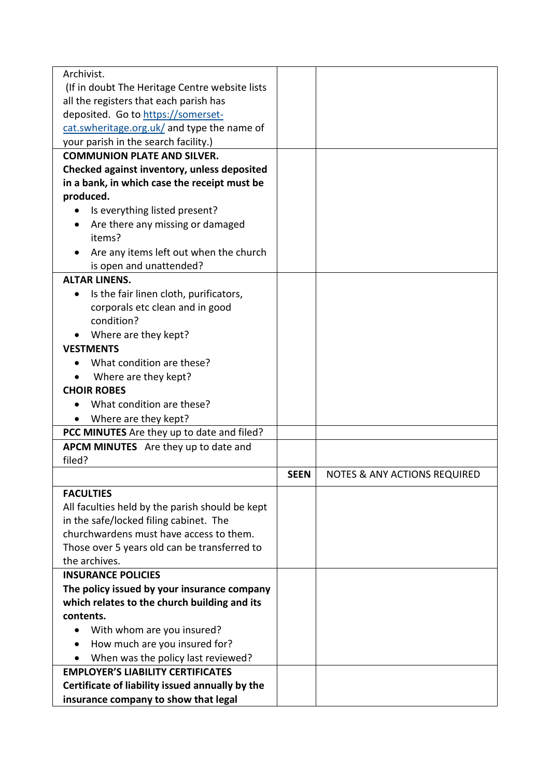| Archivist.                                      |             |                                         |
|-------------------------------------------------|-------------|-----------------------------------------|
| (If in doubt The Heritage Centre website lists) |             |                                         |
| all the registers that each parish has          |             |                                         |
| deposited. Go to https://somerset-              |             |                                         |
| cat.swheritage.org.uk/ and type the name of     |             |                                         |
| your parish in the search facility.)            |             |                                         |
| <b>COMMUNION PLATE AND SILVER.</b>              |             |                                         |
| Checked against inventory, unless deposited     |             |                                         |
| in a bank, in which case the receipt must be    |             |                                         |
| produced.                                       |             |                                         |
| Is everything listed present?                   |             |                                         |
|                                                 |             |                                         |
| Are there any missing or damaged<br>items?      |             |                                         |
|                                                 |             |                                         |
| Are any items left out when the church          |             |                                         |
| is open and unattended?<br><b>ALTAR LINENS.</b> |             |                                         |
|                                                 |             |                                         |
| Is the fair linen cloth, purificators,          |             |                                         |
| corporals etc clean and in good                 |             |                                         |
| condition?                                      |             |                                         |
| • Where are they kept?                          |             |                                         |
| <b>VESTMENTS</b>                                |             |                                         |
| What condition are these?                       |             |                                         |
| Where are they kept?                            |             |                                         |
| <b>CHOIR ROBES</b>                              |             |                                         |
| What condition are these?                       |             |                                         |
| Where are they kept?                            |             |                                         |
| PCC MINUTES Are they up to date and filed?      |             |                                         |
| APCM MINUTES Are they up to date and            |             |                                         |
| filed?                                          |             |                                         |
|                                                 | <b>SEEN</b> | <b>NOTES &amp; ANY ACTIONS REQUIRED</b> |
| <b>FACULTIES</b>                                |             |                                         |
| All faculties held by the parish should be kept |             |                                         |
| in the safe/locked filing cabinet. The          |             |                                         |
| churchwardens must have access to them.         |             |                                         |
| Those over 5 years old can be transferred to    |             |                                         |
| the archives.                                   |             |                                         |
| <b>INSURANCE POLICIES</b>                       |             |                                         |
| The policy issued by your insurance company     |             |                                         |
| which relates to the church building and its    |             |                                         |
| contents.                                       |             |                                         |
| With whom are you insured?                      |             |                                         |
| How much are you insured for?<br>٠              |             |                                         |
| When was the policy last reviewed?              |             |                                         |
| <b>EMPLOYER'S LIABILITY CERTIFICATES</b>        |             |                                         |
| Certificate of liability issued annually by the |             |                                         |
| insurance company to show that legal            |             |                                         |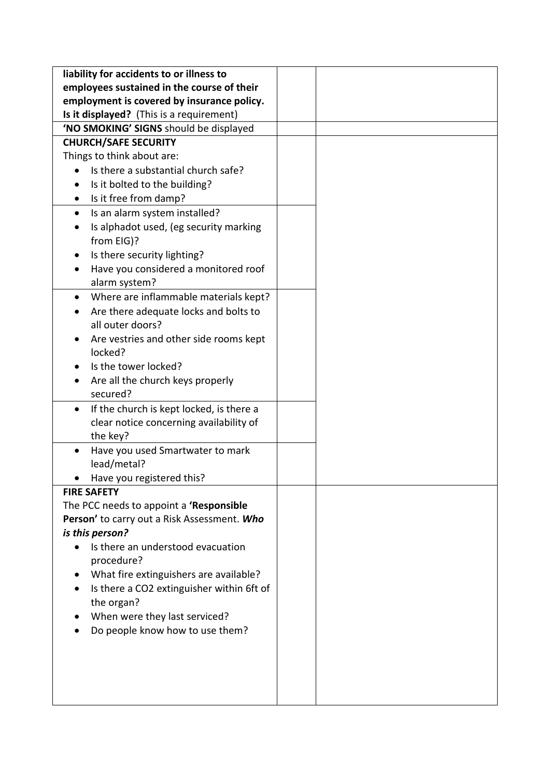| liability for accidents to or illness to              |  |
|-------------------------------------------------------|--|
| employees sustained in the course of their            |  |
| employment is covered by insurance policy.            |  |
| Is it displayed? (This is a requirement)              |  |
| 'NO SMOKING' SIGNS should be displayed                |  |
| <b>CHURCH/SAFE SECURITY</b>                           |  |
| Things to think about are:                            |  |
| Is there a substantial church safe?                   |  |
| Is it bolted to the building?                         |  |
| Is it free from damp?                                 |  |
| Is an alarm system installed?<br>٠                    |  |
| Is alphadot used, (eg security marking                |  |
| from EIG)?                                            |  |
| Is there security lighting?                           |  |
| Have you considered a monitored roof                  |  |
| alarm system?                                         |  |
| Where are inflammable materials kept?<br>$\bullet$    |  |
| Are there adequate locks and bolts to                 |  |
| all outer doors?                                      |  |
| Are vestries and other side rooms kept                |  |
| locked?                                               |  |
| Is the tower locked?                                  |  |
| Are all the church keys properly                      |  |
| secured?                                              |  |
| If the church is kept locked, is there a<br>$\bullet$ |  |
| clear notice concerning availability of               |  |
| the key?                                              |  |
| Have you used Smartwater to mark<br>٠                 |  |
| lead/metal?                                           |  |
| Have you registered this?                             |  |
| <b>FIRE SAFETY</b>                                    |  |
| The PCC needs to appoint a 'Responsible               |  |
| Person' to carry out a Risk Assessment. Who           |  |
| is this person?                                       |  |
| Is there an understood evacuation                     |  |
| procedure?                                            |  |
| What fire extinguishers are available?                |  |
| Is there a CO2 extinguisher within 6ft of             |  |
| the organ?                                            |  |
| When were they last serviced?                         |  |
| Do people know how to use them?                       |  |
|                                                       |  |
|                                                       |  |
|                                                       |  |
|                                                       |  |
|                                                       |  |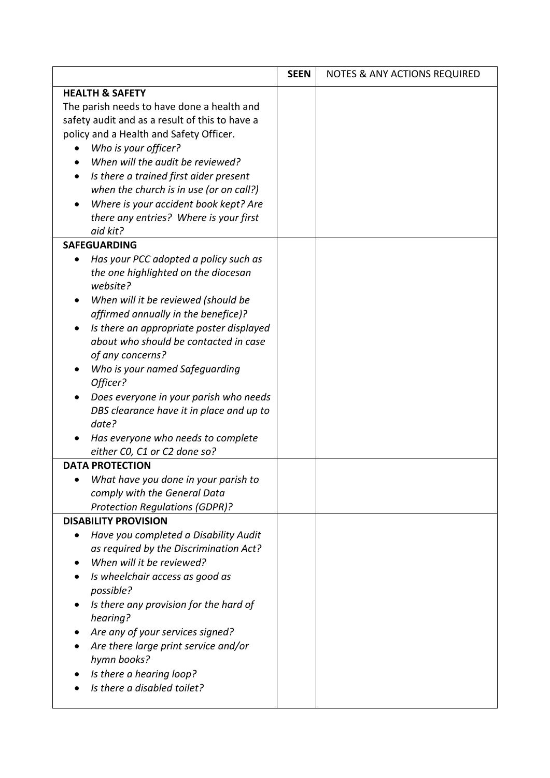|                                                    | <b>SEEN</b> | <b>NOTES &amp; ANY ACTIONS REQUIRED</b> |
|----------------------------------------------------|-------------|-----------------------------------------|
| <b>HEALTH &amp; SAFETY</b>                         |             |                                         |
| The parish needs to have done a health and         |             |                                         |
| safety audit and as a result of this to have a     |             |                                         |
| policy and a Health and Safety Officer.            |             |                                         |
| Who is your officer?                               |             |                                         |
| When will the audit be reviewed?                   |             |                                         |
| Is there a trained first aider present             |             |                                         |
| when the church is in use (or on call?)            |             |                                         |
| Where is your accident book kept? Are              |             |                                         |
| there any entries? Where is your first             |             |                                         |
| aid kit?                                           |             |                                         |
| <b>SAFEGUARDING</b>                                |             |                                         |
| Has your PCC adopted a policy such as<br>$\bullet$ |             |                                         |
| the one highlighted on the diocesan<br>website?    |             |                                         |
| When will it be reviewed (should be                |             |                                         |
| affirmed annually in the benefice)?                |             |                                         |
| Is there an appropriate poster displayed           |             |                                         |
| about who should be contacted in case              |             |                                         |
| of any concerns?                                   |             |                                         |
| Who is your named Safeguarding<br>Officer?         |             |                                         |
| Does everyone in your parish who needs             |             |                                         |
| DBS clearance have it in place and up to           |             |                                         |
| date?                                              |             |                                         |
| Has everyone who needs to complete                 |             |                                         |
| either CO, C1 or C2 done so?                       |             |                                         |
| <b>DATA PROTECTION</b>                             |             |                                         |
| What have you done in your parish to               |             |                                         |
| comply with the General Data                       |             |                                         |
| <b>Protection Regulations (GDPR)?</b>              |             |                                         |
| <b>DISABILITY PROVISION</b>                        |             |                                         |
| Have you completed a Disability Audit              |             |                                         |
| as required by the Discrimination Act?             |             |                                         |
| When will it be reviewed?                          |             |                                         |
| Is wheelchair access as good as<br>possible?       |             |                                         |
| Is there any provision for the hard of<br>hearing? |             |                                         |
| Are any of your services signed?                   |             |                                         |
| Are there large print service and/or               |             |                                         |
| hymn books?                                        |             |                                         |
| Is there a hearing loop?                           |             |                                         |
| Is there a disabled toilet?                        |             |                                         |
|                                                    |             |                                         |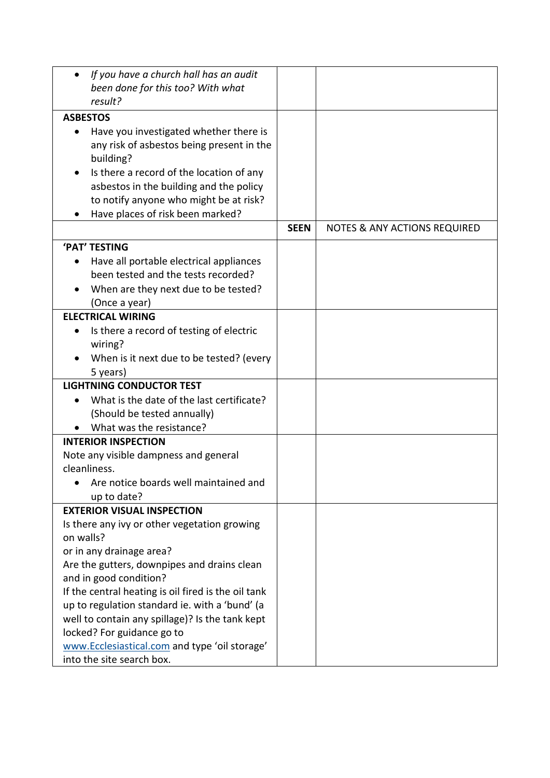| If you have a church hall has an audit              |             |                                         |
|-----------------------------------------------------|-------------|-----------------------------------------|
| been done for this too? With what                   |             |                                         |
| result?                                             |             |                                         |
| <b>ASBESTOS</b>                                     |             |                                         |
| Have you investigated whether there is              |             |                                         |
| any risk of asbestos being present in the           |             |                                         |
| building?                                           |             |                                         |
| Is there a record of the location of any            |             |                                         |
| asbestos in the building and the policy             |             |                                         |
| to notify anyone who might be at risk?              |             |                                         |
| Have places of risk been marked?                    |             |                                         |
|                                                     | <b>SEEN</b> | <b>NOTES &amp; ANY ACTIONS REQUIRED</b> |
| 'PAT' TESTING                                       |             |                                         |
| Have all portable electrical appliances             |             |                                         |
| been tested and the tests recorded?                 |             |                                         |
| When are they next due to be tested?                |             |                                         |
| (Once a year)                                       |             |                                         |
| <b>ELECTRICAL WIRING</b>                            |             |                                         |
| Is there a record of testing of electric            |             |                                         |
| wiring?                                             |             |                                         |
| When is it next due to be tested? (every            |             |                                         |
| 5 years)                                            |             |                                         |
| <b>LIGHTNING CONDUCTOR TEST</b>                     |             |                                         |
| What is the date of the last certificate?           |             |                                         |
| (Should be tested annually)                         |             |                                         |
| What was the resistance?                            |             |                                         |
| <b>INTERIOR INSPECTION</b>                          |             |                                         |
| Note any visible dampness and general               |             |                                         |
| cleanliness.                                        |             |                                         |
| Are notice boards well maintained and               |             |                                         |
| up to date?                                         |             |                                         |
| <b>EXTERIOR VISUAL INSPECTION</b>                   |             |                                         |
| Is there any ivy or other vegetation growing        |             |                                         |
| on walls?                                           |             |                                         |
| or in any drainage area?                            |             |                                         |
| Are the gutters, downpipes and drains clean         |             |                                         |
| and in good condition?                              |             |                                         |
| If the central heating is oil fired is the oil tank |             |                                         |
| up to regulation standard ie. with a 'bund' (a      |             |                                         |
| well to contain any spillage)? Is the tank kept     |             |                                         |
| locked? For guidance go to                          |             |                                         |
| www.Ecclesiastical.com and type 'oil storage'       |             |                                         |
| into the site search box.                           |             |                                         |